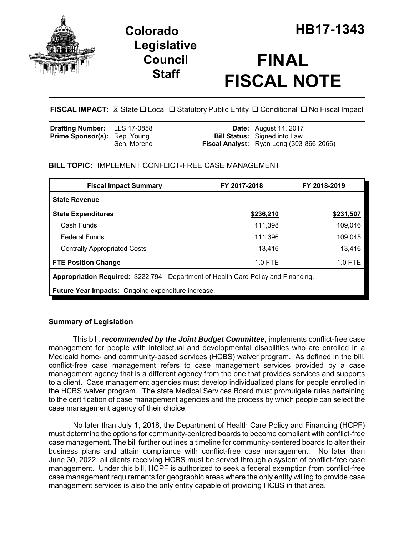

# **Legislative Council Staff**

# **FINAL FISCAL NOTE**

FISCAL IMPACT:  $\boxtimes$  State  $\Box$  Local  $\Box$  Statutory Public Entity  $\Box$  Conditional  $\Box$  No Fiscal Impact

| <b>Drafting Number:</b> LLS 17-0858 |             | <b>Date:</b> August 14, 2017                                                           |
|-------------------------------------|-------------|----------------------------------------------------------------------------------------|
| <b>Prime Sponsor(s):</b> Rep. Young | Sen. Moreno | <b>Bill Status:</b> Signed into Law<br><b>Fiscal Analyst:</b> Ryan Long (303-866-2066) |
|                                     |             |                                                                                        |

### **BILL TOPIC:** IMPLEMENT CONFLICT-FREE CASE MANAGEMENT

| <b>Fiscal Impact Summary</b>                                                        | FY 2017-2018 | FY 2018-2019 |  |
|-------------------------------------------------------------------------------------|--------------|--------------|--|
| <b>State Revenue</b>                                                                |              |              |  |
| <b>State Expenditures</b>                                                           | \$236,210    | \$231,507    |  |
| Cash Funds                                                                          | 111,398      | 109,046      |  |
| <b>Federal Funds</b>                                                                | 111,396      | 109,045      |  |
| <b>Centrally Appropriated Costs</b>                                                 | 13,416       | 13,416       |  |
| <b>FTE Position Change</b>                                                          | $1.0$ FTE    | 1.0 FTE      |  |
| Appropriation Required: \$222,794 - Department of Health Care Policy and Financing. |              |              |  |
| <b>Future Year Impacts:</b> Ongoing expenditure increase.                           |              |              |  |

### **Summary of Legislation**

This bill, *recommended by the Joint Budget Committee*, implements conflict-free case management for people with intellectual and developmental disabilities who are enrolled in a Medicaid home- and community-based services (HCBS) waiver program. As defined in the bill, conflict-free case management refers to case management services provided by a case management agency that is a different agency from the one that provides services and supports to a client. Case management agencies must develop individualized plans for people enrolled in the HCBS waiver program. The state Medical Services Board must promulgate rules pertaining to the certification of case management agencies and the process by which people can select the case management agency of their choice.

No later than July 1, 2018, the Department of Health Care Policy and Financing (HCPF) must determine the options for community-centered boards to become compliant with conflict-free case management. The bill further outlines a timeline for community-centered boards to alter their business plans and attain compliance with conflict-free case management. No later than June 30, 2022, all clients receiving HCBS must be served through a system of conflict-free case management. Under this bill, HCPF is authorized to seek a federal exemption from conflict-free case management requirements for geographic areas where the only entity willing to provide case management services is also the only entity capable of providing HCBS in that area.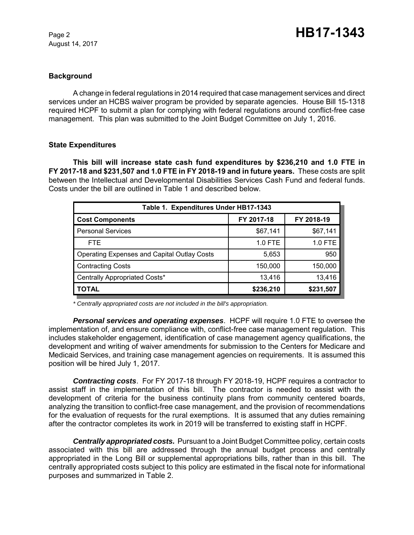August 14, 2017

#### **Background**

A change in federal regulations in 2014 required that case management services and direct services under an HCBS waiver program be provided by separate agencies. House Bill 15-1318 required HCPF to submit a plan for complying with federal regulations around conflict-free case management. This plan was submitted to the Joint Budget Committee on July 1, 2016.

#### **State Expenditures**

**This bill will increase state cash fund expenditures by \$236,210 and 1.0 FTE in FY 2017-18 and \$231,507 and 1.0 FTE in FY 2018-19 and in future years.** These costs are split between the Intellectual and Developmental Disabilities Services Cash Fund and federal funds. Costs under the bill are outlined in Table 1 and described below.

| Table 1. Expenditures Under HB17-1343              |            |            |  |  |
|----------------------------------------------------|------------|------------|--|--|
| <b>Cost Components</b>                             | FY 2017-18 | FY 2018-19 |  |  |
| <b>Personal Services</b>                           | \$67,141   | \$67,141   |  |  |
| <b>FTE</b>                                         | 1.0 FTE    | 1.0 FTE    |  |  |
| <b>Operating Expenses and Capital Outlay Costs</b> | 5,653      | 950        |  |  |
| <b>Contracting Costs</b>                           | 150,000    | 150,000    |  |  |
| Centrally Appropriated Costs*                      | 13,416     | 13,416     |  |  |
| TOTAL                                              | \$236,210  | \$231,507  |  |  |

*\* Centrally appropriated costs are not included in the bill's appropriation.*

*Personal services and operating expenses*. HCPF will require 1.0 FTE to oversee the implementation of, and ensure compliance with, conflict-free case management regulation. This includes stakeholder engagement, identification of case management agency qualifications, the development and writing of waiver amendments for submission to the Centers for Medicare and Medicaid Services, and training case management agencies on requirements. It is assumed this position will be hired July 1, 2017.

*Contracting costs*. For FY 2017-18 through FY 2018-19, HCPF requires a contractor to assist staff in the implementation of this bill. The contractor is needed to assist with the development of criteria for the business continuity plans from community centered boards, analyzing the transition to conflict-free case management, and the provision of recommendations for the evaluation of requests for the rural exemptions. It is assumed that any duties remaining after the contractor completes its work in 2019 will be transferred to existing staff in HCPF.

*Centrally appropriated costs.* Pursuant to a Joint Budget Committee policy, certain costs associated with this bill are addressed through the annual budget process and centrally appropriated in the Long Bill or supplemental appropriations bills, rather than in this bill. The centrally appropriated costs subject to this policy are estimated in the fiscal note for informational purposes and summarized in Table 2.